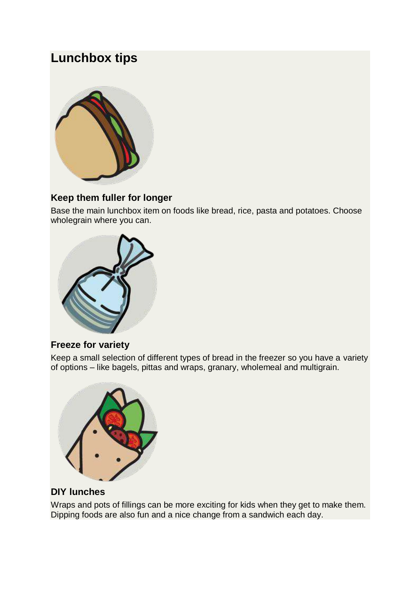# **Lunchbox tips**



#### **Keep them fuller for longer**

Base the main lunchbox item on foods like bread, rice, pasta and potatoes. Choose wholegrain where you can.



#### **Freeze for variety**

Keep a small selection of different types of bread in the freezer so you have a variety of options – like bagels, pittas and wraps, granary, wholemeal and multigrain.



## **DIY lunches**

Wraps and pots of fillings can be more exciting for kids when they get to make them. Dipping foods are also fun and a nice change from a sandwich each day.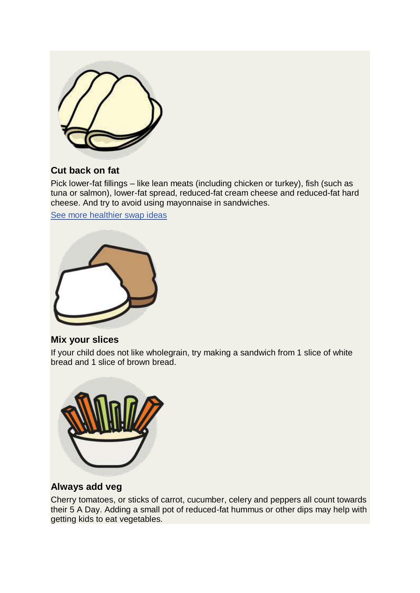

#### **Cut back on fat**

Pick lower-fat fillings – like lean meats (including chicken or turkey), fish (such as tuna or salmon), lower-fat spread, reduced-fat cream cheese and reduced-fat hard cheese. And try to avoid using mayonnaise in sandwiches.

[See more healthier swap ideas](https://www.nhs.uk/healthier-families/food-facts/healthier-food-swaps/)



#### **Mix your slices**

If your child does not like wholegrain, try making a sandwich from 1 slice of white bread and 1 slice of brown bread.



#### **Always add veg**

Cherry tomatoes, or sticks of carrot, cucumber, celery and peppers all count towards their 5 A Day. Adding a small pot of reduced-fat hummus or other dips may help with getting kids to eat vegetables.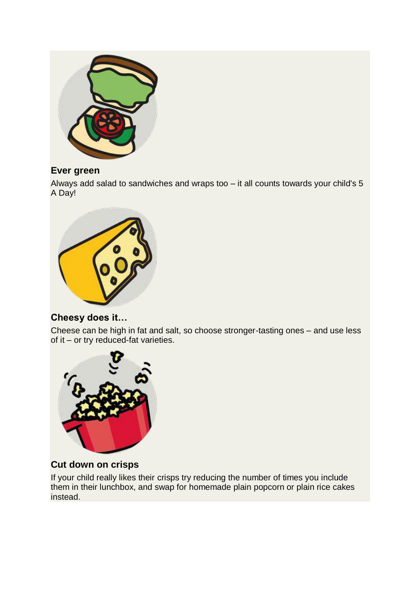

## **Ever green**

Always add salad to sandwiches and wraps too – it all counts towards your child's 5 A Day!



## **Cheesy does it…**

Cheese can be high in fat and salt, so choose stronger-tasting ones – and use less of it – or try reduced-fat varieties.



## **Cut down on crisps**

If your child really likes their crisps try reducing the number of times you include them in their lunchbox, and swap for homemade plain popcorn or plain rice cakes instead.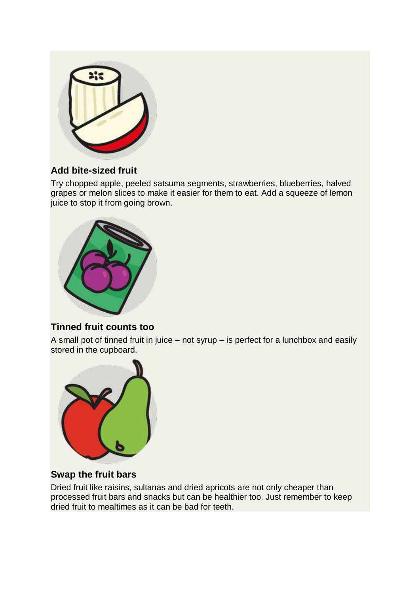

## **Add bite-sized fruit**

Try chopped apple, peeled satsuma segments, strawberries, blueberries, halved grapes or melon slices to make it easier for them to eat. Add a squeeze of lemon juice to stop it from going brown.



#### **Tinned fruit counts too**

A small pot of tinned fruit in juice – not syrup – is perfect for a lunchbox and easily stored in the cupboard.



#### **Swap the fruit bars**

Dried fruit like raisins, sultanas and dried apricots are not only cheaper than processed fruit bars and snacks but can be healthier too. Just remember to keep dried fruit to mealtimes as it can be bad for teeth.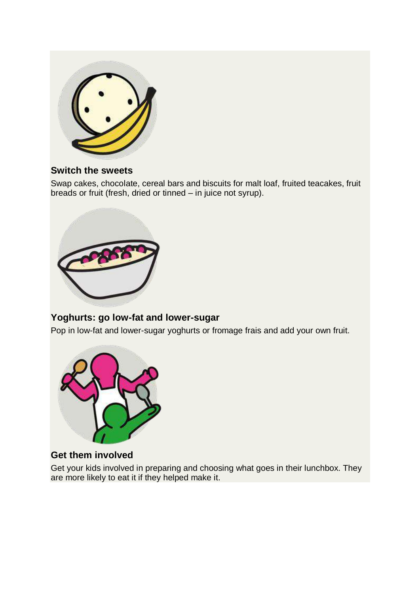

#### **Switch the sweets**

Swap cakes, chocolate, cereal bars and biscuits for malt loaf, fruited teacakes, fruit breads or fruit (fresh, dried or tinned – in juice not syrup).



## **Yoghurts: go low-fat and lower-sugar**

Pop in low-fat and lower-sugar yoghurts or fromage frais and add your own fruit.



## **Get them involved**

Get your kids involved in preparing and choosing what goes in their lunchbox. They are more likely to eat it if they helped make it.